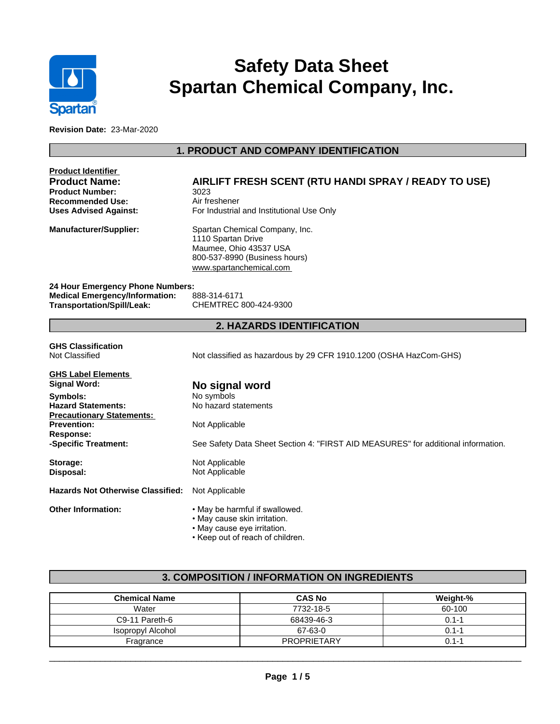

# **Safety Data Sheet Spartan Chemical Company, Inc.**

**Revision Date:** 23-Mar-2020

# **1. PRODUCT AND COMPANY IDENTIFICATION**

| Product Identifier<br><b>Product Name:</b><br><b>Product Number:</b><br><b>Recommended Use:</b><br><b>Uses Advised Against:</b> | AIRLIFT FRESH SCENT (RTU HANDI SPRAY / READY TO USE)<br>3023<br>Air freshener<br>For Industrial and Institutional Use Only                 |
|---------------------------------------------------------------------------------------------------------------------------------|--------------------------------------------------------------------------------------------------------------------------------------------|
| Manufacturer/Supplier:                                                                                                          | Spartan Chemical Company, Inc.<br>1110 Spartan Drive<br>Maumee, Ohio 43537 USA<br>800-537-8990 (Business hours)<br>www.spartanchemical.com |
| 24 Hour Emergency Phone Numbers:                                                                                                |                                                                                                                                            |
| <b>Medical Emergency/Information:</b><br>Transportation/Spill/Leak:                                                             | 888-314-6171<br>CHEMTREC 800-424-9300                                                                                                      |
|                                                                                                                                 | <b>2. HAZARDS IDENTIFICATION</b>                                                                                                           |
| <b>GHS Classification</b><br>Not Classified                                                                                     | Not classified as hazardous by 29 CFR 1910.1200 (OSHA HazCom-GHS)                                                                          |
| <b>GHS Label Elements</b>                                                                                                       |                                                                                                                                            |
| Signal Word:                                                                                                                    | No signal word                                                                                                                             |
| Symbols:                                                                                                                        | No symbols                                                                                                                                 |
| <b>Hazard Statements:</b>                                                                                                       | No hazard statements                                                                                                                       |
| <b>Precautionary Statements:</b><br><b>Prevention:</b><br><b>Response:</b>                                                      | Not Applicable                                                                                                                             |
| -Specific Treatment:                                                                                                            | See Safety Data Sheet Section 4: "FIRST AID MEASURES" for additional information.                                                          |
| Storage:                                                                                                                        | Not Applicable                                                                                                                             |
| Disposal:                                                                                                                       | Not Applicable                                                                                                                             |
| <b>Hazards Not Otherwise Classified:</b>                                                                                        | Not Applicable                                                                                                                             |
| <b>Other Information:</b>                                                                                                       | . May be harmful if swallowed.<br>• May cause skin irritation.<br>· May cause eye irritation.<br>• Keep out of reach of children.          |

# **3. COMPOSITION / INFORMATION ON INGREDIENTS**

| <b>Chemical Name</b> | <b>CAS No</b>      | Weight-%  |
|----------------------|--------------------|-----------|
| Water                | 7732-18-5          | 60-100    |
| C9-11 Pareth-6       | 68439-46-3         | $0.1 - 1$ |
| Isopropyl Alcohol    | 67-63-0            | $0.1 - 1$ |
| Fragrance            | <b>PROPRIETARY</b> | 0.1-1     |

 $\overline{\phantom{a}}$  ,  $\overline{\phantom{a}}$  ,  $\overline{\phantom{a}}$  ,  $\overline{\phantom{a}}$  ,  $\overline{\phantom{a}}$  ,  $\overline{\phantom{a}}$  ,  $\overline{\phantom{a}}$  ,  $\overline{\phantom{a}}$  ,  $\overline{\phantom{a}}$  ,  $\overline{\phantom{a}}$  ,  $\overline{\phantom{a}}$  ,  $\overline{\phantom{a}}$  ,  $\overline{\phantom{a}}$  ,  $\overline{\phantom{a}}$  ,  $\overline{\phantom{a}}$  ,  $\overline{\phantom{a}}$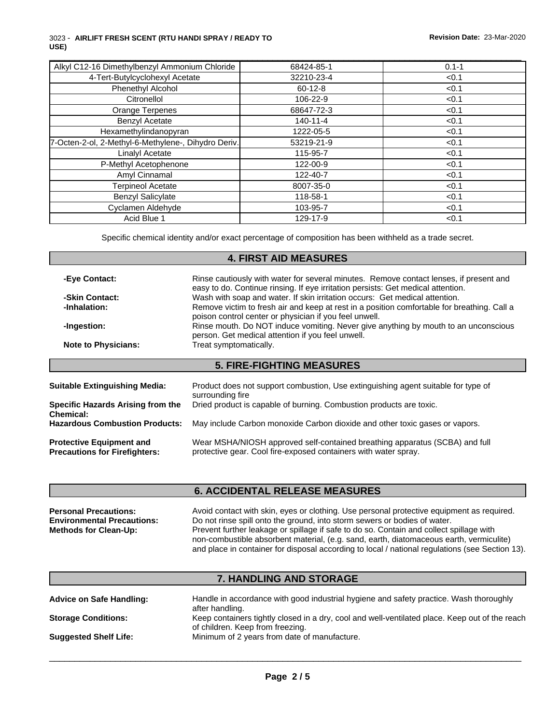#### 3023 - **AIRLIFT FRESH SCENT (RTU HANDI SPRAY / READY TO USE)**

| Alkyl C12-16 Dimethylbenzyl Ammonium Chloride       | 68424-85-1     | $0.1 - 1$ |
|-----------------------------------------------------|----------------|-----------|
| 4-Tert-Butylcyclohexyl Acetate                      | 32210-23-4     | < 0.1     |
| Phenethyl Alcohol                                   | $60 - 12 - 8$  | < 0.1     |
| Citronellol                                         | 106-22-9       | < 0.1     |
| Orange Terpenes                                     | 68647-72-3     | < 0.1     |
| <b>Benzyl Acetate</b>                               | $140 - 11 - 4$ | < 0.1     |
| Hexamethylindanopyran                               | 1222-05-5      | < 0.1     |
| 7-Octen-2-ol, 2-Methyl-6-Methylene-, Dihydro Deriv. | 53219-21-9     | < 0.1     |
| Linalyl Acetate                                     | 115-95-7       | < 0.1     |
| P-Methyl Acetophenone                               | 122-00-9       | < 0.1     |
| Amyl Cinnamal                                       | 122-40-7       | < 0.1     |
| <b>Terpineol Acetate</b>                            | 8007-35-0      | < 0.1     |
| <b>Benzyl Salicylate</b>                            | 118-58-1       | < 0.1     |
| Cyclamen Aldehyde                                   | 103-95-7       | < 0.1     |
| Acid Blue 1                                         | 129-17-9       | < 0.1     |

\_\_\_\_\_\_\_\_\_\_\_\_\_\_\_\_\_\_\_\_\_\_\_\_\_\_\_\_\_\_\_\_\_\_\_\_\_\_\_\_\_\_\_\_\_\_\_\_\_\_\_\_\_\_\_\_\_\_\_\_\_\_\_\_\_\_\_\_\_\_\_\_\_\_\_\_\_\_\_\_\_\_\_\_\_\_\_\_\_\_\_\_\_

Specific chemical identity and/or exact percentage of composition has been withheld as a trade secret.

## **4. FIRST AID MEASURES**

| -Eye Contact:                                                           | Rinse cautiously with water for several minutes. Remove contact lenses, if present and                                                                          |
|-------------------------------------------------------------------------|-----------------------------------------------------------------------------------------------------------------------------------------------------------------|
| -Skin Contact:                                                          | easy to do. Continue rinsing. If eye irritation persists: Get medical attention.<br>Wash with soap and water. If skin irritation occurs: Get medical attention. |
| -Inhalation:                                                            | Remove victim to fresh air and keep at rest in a position comfortable for breathing. Call a<br>poison control center or physician if you feel unwell.           |
| -Ingestion:                                                             | Rinse mouth. Do NOT induce vomiting. Never give anything by mouth to an unconscious<br>person. Get medical attention if you feel unwell.                        |
| <b>Note to Physicians:</b>                                              | Treat symptomatically.                                                                                                                                          |
|                                                                         | <b>5. FIRE-FIGHTING MEASURES</b>                                                                                                                                |
|                                                                         |                                                                                                                                                                 |
| <b>Suitable Extinguishing Media:</b>                                    | Product does not support combustion, Use extinguishing agent suitable for type of<br>surrounding fire                                                           |
| Specific Hazards Arising from the<br><b>Chemical:</b>                   | Dried product is capable of burning. Combustion products are toxic.                                                                                             |
| <b>Hazardous Combustion Products:</b>                                   | May include Carbon monoxide Carbon dioxide and other toxic gases or vapors.                                                                                     |
| <b>Protective Equipment and</b><br><b>Precautions for Firefighters:</b> | Wear MSHA/NIOSH approved self-contained breathing apparatus (SCBA) and full<br>protective gear. Cool fire-exposed containers with water spray.                  |

## **6. ACCIDENTAL RELEASE MEASURES**

| <b>Personal Precautions:</b>      | Avoid contact with skin, eyes or clothing. Use personal protective equipment as required.       |
|-----------------------------------|-------------------------------------------------------------------------------------------------|
| <b>Environmental Precautions:</b> | Do not rinse spill onto the ground, into storm sewers or bodies of water.                       |
| <b>Methods for Clean-Up:</b>      | Prevent further leakage or spillage if safe to do so. Contain and collect spillage with         |
|                                   | non-combustible absorbent material, (e.g. sand, earth, diatomaceous earth, vermiculite)         |
|                                   | and place in container for disposal according to local / national regulations (see Section 13). |

## **7. HANDLING AND STORAGE Advice on Safe Handling:** Handle in accordance with good industrial hygiene and safety practice. Wash thoroughly after handling. **Storage Conditions:** Keep containers tightly closed in a dry, cool and well-ventilated place. Keep out of the reach of children. Keep from freezing. **Suggested Shelf Life:** Minimum of 2 years from date of manufacture.

 $\overline{\phantom{a}}$  ,  $\overline{\phantom{a}}$  ,  $\overline{\phantom{a}}$  ,  $\overline{\phantom{a}}$  ,  $\overline{\phantom{a}}$  ,  $\overline{\phantom{a}}$  ,  $\overline{\phantom{a}}$  ,  $\overline{\phantom{a}}$  ,  $\overline{\phantom{a}}$  ,  $\overline{\phantom{a}}$  ,  $\overline{\phantom{a}}$  ,  $\overline{\phantom{a}}$  ,  $\overline{\phantom{a}}$  ,  $\overline{\phantom{a}}$  ,  $\overline{\phantom{a}}$  ,  $\overline{\phantom{a}}$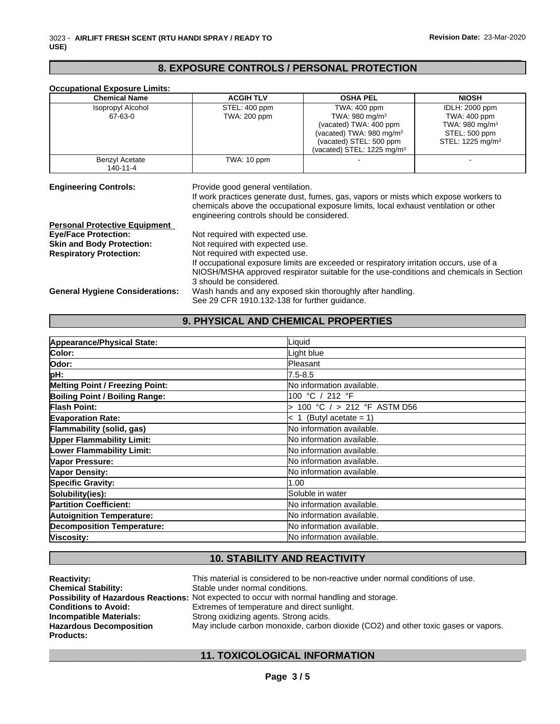# **8. EXPOSURE CONTROLS / PERSONAL PROTECTION**

| <b>Chemical Name</b>                   | <b>ACGIH TLV</b>                                                                        | <b>OSHA PEL</b>                                                                         | <b>NIOSH</b>                 |  |  |
|----------------------------------------|-----------------------------------------------------------------------------------------|-----------------------------------------------------------------------------------------|------------------------------|--|--|
| <b>Isopropyl Alcohol</b>               | STEL: 400 ppm                                                                           | TWA: 400 ppm                                                                            | <b>IDLH: 2000 ppm</b>        |  |  |
| 67-63-0                                | TWA: 200 ppm                                                                            | TWA: $980 \text{ mg/m}^3$                                                               | TWA: 400 ppm                 |  |  |
|                                        |                                                                                         | (vacated) TWA: 400 ppm                                                                  | TWA: $980 \text{ mg/m}^3$    |  |  |
|                                        |                                                                                         | (vacated) TWA: $980 \text{ mg/m}^3$                                                     | STEL: 500 ppm                |  |  |
|                                        |                                                                                         | (vacated) STEL: 500 ppm                                                                 | STEL: 1225 mg/m <sup>3</sup> |  |  |
|                                        |                                                                                         | (vacated) STEL: 1225 mg/m $3$                                                           |                              |  |  |
| Benzyl Acetate                         | TWA: 10 ppm                                                                             |                                                                                         |                              |  |  |
| 140-11-4                               |                                                                                         |                                                                                         |                              |  |  |
|                                        | engineering controls should be considered.                                              | chemicals above the occupational exposure limits, local exhaust ventilation or other    |                              |  |  |
| <b>Personal Protective Equipment</b>   |                                                                                         |                                                                                         |                              |  |  |
| <b>Eve/Face Protection:</b>            | Not required with expected use.                                                         |                                                                                         |                              |  |  |
| <b>Skin and Body Protection:</b>       | Not required with expected use.                                                         |                                                                                         |                              |  |  |
| <b>Respiratory Protection:</b>         | Not required with expected use.                                                         |                                                                                         |                              |  |  |
|                                        | If occupational exposure limits are exceeded or respiratory irritation occurs, use of a |                                                                                         |                              |  |  |
|                                        |                                                                                         | NIOSH/MSHA approved respirator suitable for the use-conditions and chemicals in Section |                              |  |  |
|                                        | 3 should be considered.                                                                 |                                                                                         |                              |  |  |
| <b>General Hygiene Considerations:</b> |                                                                                         | Wash hands and any exposed skin thoroughly after handling.                              |                              |  |  |
|                                        | See 29 CFR 1910.132-138 for further quidance.                                           |                                                                                         |                              |  |  |

## **9. PHYSICAL AND CHEMICAL PROPERTIES**

| Appearance/Physical State:             | Liquid                       |
|----------------------------------------|------------------------------|
| <b>Color:</b>                          | Light blue                   |
| lOdor:                                 | <b>Pleasant</b>              |
| pH:                                    | 7.5-8.5                      |
| <b>Melting Point / Freezing Point:</b> | No information available.    |
| <b>Boiling Point / Boiling Range:</b>  | 100 °C / 212 °F              |
| Flash Point:                           | 100 °C $/$ > 212 °F ASTM D56 |
| <b>Evaporation Rate:</b>               | $< 1$ (Butyl acetate = 1)    |
| Flammability (solid, gas)              | No information available.    |
| <b>Upper Flammability Limit:</b>       | No information available.    |
| Lower Flammability Limit:              | No information available.    |
| Vapor Pressure:                        | No information available.    |
| Vapor Density:                         | No information available.    |
| <b>Specific Gravity:</b>               | 1.00                         |
| Solubility(ies):                       | Soluble in water             |
| <b>Partition Coefficient:</b>          | No information available.    |
| <b>Autoignition Temperature:</b>       | No information available.    |
| <b>Decomposition Temperature:</b>      | No information available.    |
| Viscosity:                             | No information available.    |

## **10. STABILITY AND REACTIVITY**

| <b>Reactivity:</b>             | This material is considered to be non-reactive under normal conditions of use.                     |
|--------------------------------|----------------------------------------------------------------------------------------------------|
| <b>Chemical Stability:</b>     | Stable under normal conditions.                                                                    |
|                                | <b>Possibility of Hazardous Reactions:</b> Not expected to occur with normal handling and storage. |
| <b>Conditions to Avoid:</b>    | Extremes of temperature and direct sunlight.                                                       |
| <b>Incompatible Materials:</b> | Strong oxidizing agents. Strong acids.                                                             |
| <b>Hazardous Decomposition</b> | May include carbon monoxide, carbon dioxide (CO2) and other toxic gases or vapors.                 |
| <b>Products:</b>               |                                                                                                    |

## \_\_\_\_\_\_\_\_\_\_\_\_\_\_\_\_\_\_\_\_\_\_\_\_\_\_\_\_\_\_\_\_\_\_\_\_\_\_\_\_\_\_\_\_\_\_\_\_\_\_\_\_\_\_\_\_\_\_\_\_\_\_\_\_\_\_\_\_\_\_\_\_\_\_\_\_\_\_\_\_\_\_\_\_\_\_\_\_\_\_\_\_\_ **11. TOXICOLOGICAL INFORMATION**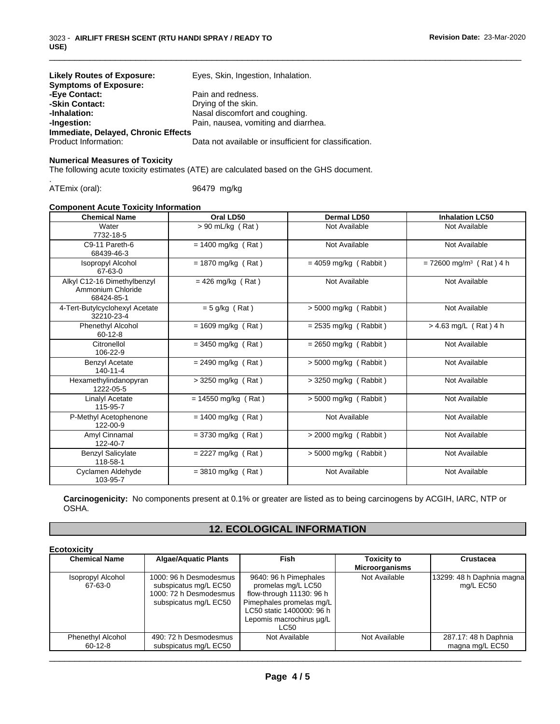| <b>Likely Routes of Exposure:</b><br><b>Symptoms of Exposure:</b> | Eyes, Skin, Ingestion, Inhalation.                     |
|-------------------------------------------------------------------|--------------------------------------------------------|
| -Eye Contact:                                                     | Pain and redness.                                      |
| -Skin Contact:                                                    | Drying of the skin.                                    |
| -Inhalation:                                                      | Nasal discomfort and coughing.                         |
| -Ingestion:                                                       | Pain, nausea, vomiting and diarrhea.                   |
| Immediate, Delayed, Chronic Effects                               |                                                        |
| Product Information:                                              | Data not available or insufficient for classification. |

#### **Numerical Measures of Toxicity**

The following acute toxicity estimates (ATE) are calculated based on the GHS document.

.ATEmix (oral): 96479 mg/kg

## **Component Acute Toxicity Information**

| <b>Chemical Name</b>                                           | Oral LD50             | Dermal LD50             | <b>Inhalation LC50</b>                |
|----------------------------------------------------------------|-----------------------|-------------------------|---------------------------------------|
| Water<br>7732-18-5                                             | $> 90$ mL/kg (Rat)    | Not Available           | Not Available                         |
| C9-11 Pareth-6<br>68439-46-3                                   | $= 1400$ mg/kg (Rat)  | Not Available           | Not Available                         |
| Isopropyl Alcohol<br>67-63-0                                   | $= 1870$ mg/kg (Rat)  | $= 4059$ mg/kg (Rabbit) | $= 72600$ mg/m <sup>3</sup> (Rat) 4 h |
| Alkyl C12-16 Dimethylbenzyl<br>Ammonium Chloride<br>68424-85-1 | $= 426$ mg/kg (Rat)   | Not Available           | Not Available                         |
| 4-Tert-Butylcyclohexyl Acetate<br>32210-23-4                   | $= 5$ g/kg (Rat)      | > 5000 mg/kg (Rabbit)   | Not Available                         |
| Phenethyl Alcohol<br>$60-12-8$                                 | $= 1609$ mg/kg (Rat)  | $= 2535$ mg/kg (Rabbit) | $> 4.63$ mg/L (Rat) 4 h               |
| Citronellol<br>106-22-9                                        | $=$ 3450 mg/kg (Rat)  | $= 2650$ mg/kg (Rabbit) | Not Available                         |
| <b>Benzyl Acetate</b><br>$140 - 11 - 4$                        | $= 2490$ mg/kg (Rat)  | $> 5000$ mg/kg (Rabbit) | Not Available                         |
| Hexamethylindanopyran<br>1222-05-5                             | > 3250 mg/kg (Rat)    | $>$ 3250 mg/kg (Rabbit) | Not Available                         |
| Linalyl Acetate<br>115-95-7                                    | $= 14550$ mg/kg (Rat) | > 5000 mg/kg (Rabbit)   | Not Available                         |
| P-Methyl Acetophenone<br>122-00-9                              | $= 1400$ mg/kg (Rat)  | Not Available           | Not Available                         |
| Amyl Cinnamal<br>122-40-7                                      | $=$ 3730 mg/kg (Rat)  | $>$ 2000 mg/kg (Rabbit) | Not Available                         |
| <b>Benzyl Salicylate</b><br>118-58-1                           | $= 2227$ mg/kg (Rat)  | $> 5000$ mg/kg (Rabbit) | Not Available                         |
| Cyclamen Aldehyde<br>103-95-7                                  | $=$ 3810 mg/kg (Rat)  | Not Available           | Not Available                         |

**Carcinogenicity:** No components present at 0.1% or greater are listed as to being carcinogens by ACGIH, IARC, NTP or OSHA.

## **12. ECOLOGICAL INFORMATION**

| <b>Chemical Name</b>                      | <b>Algae/Aquatic Plants</b>                                                                        | <b>Fish</b>                                                                                                                                                                 | <b>Toxicity to</b><br><b>Microorganisms</b> | <b>Crustacea</b>                        |
|-------------------------------------------|----------------------------------------------------------------------------------------------------|-----------------------------------------------------------------------------------------------------------------------------------------------------------------------------|---------------------------------------------|-----------------------------------------|
| Isopropyl Alcohol<br>67-63-0              | 1000: 96 h Desmodesmus<br>subspicatus mg/L EC50<br>1000: 72 h Desmodesmus<br>subspicatus mg/L EC50 | 9640: 96 h Pimephales<br>promelas mg/L LC50<br>flow-through 11130: 96 h<br>Pimephales promelas mq/L<br>LC50 static 1400000: 96 h<br>Lepomis macrochirus µg/L<br><b>LC50</b> | Not Available                               | 13299: 48 h Daphnia magna<br>mg/L EC50  |
| <b>Phenethyl Alcohol</b><br>$60 - 12 - 8$ | 490: 72 h Desmodesmus<br>subspicatus mg/L EC50                                                     | Not Available                                                                                                                                                               | Not Available                               | 287.17: 48 h Daphnia<br>magna mg/L EC50 |